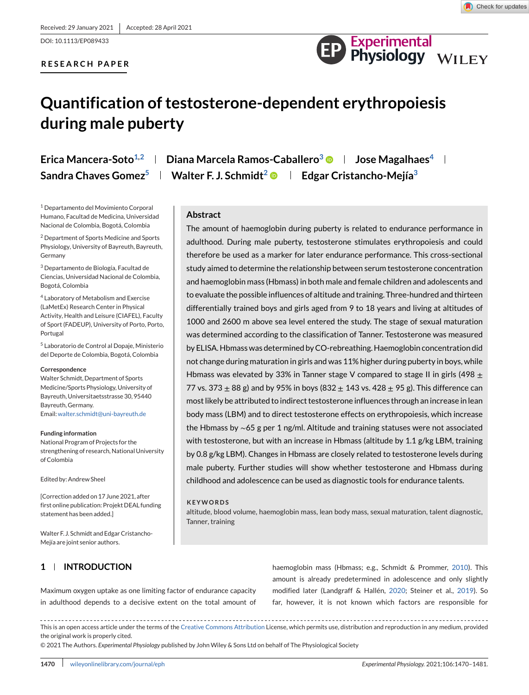DOI: 10.1113/EP089433

# **RESEARCH PAPER**



# **Quantification of testosterone-dependent erythropoiesis during male puberty**

<sup>1</sup> Departamento del Movimiento Corporal Humano, Facultad de Medicina, Universidad Nacional de Colombia, Bogotá, Colombia

<sup>2</sup> Department of Sports Medicine and Sports Physiology, University of Bayreuth, Bayreuth, Germany

<sup>3</sup> Departamento de Biología, Facultad de Ciencias, Universidad Nacional de Colombia, Bogotá, Colombia

<sup>4</sup> Laboratory of Metabolism and Exercise (LaMetEx) Research Center in Physical Activity, Health and Leisure (CIAFEL), Faculty of Sport (FADEUP), University of Porto, Porto, Portugal

<sup>5</sup> Laboratorio de Control al Dopaje, Ministerio del Deporte de Colombia, Bogotá, Colombia

#### **Correspondence**

Walter Schmidt, Department of Sports Medicine/Sports Physiology, University of Bayreuth, Universitaetsstrasse 30, 95440 Bayreuth, Germany. Email[:walter.schmidt@uni-bayreuth.de](mailto:walter.schmidt@uni-bayreuth.de)

#### **Funding information**

National Program of Projects for the strengthening of research, National University of Colombia

Edited by: Andrew Sheel

[Correction added on 17 June 2021, after first online publication: Projekt DEAL funding statement has been added.]

Walter F. J. Schmidt and Edgar Cristancho-Mejía are joint senior authors.

# **1 INTRODUCTION**

**Erica Mancera-Soto<sup>1,2</sup> | Diana Marcela Ramos-Caballero<sup>3</sup>**  $\bullet$  **| Jose Magalhaes<sup>4</sup> | Sandra Chaves Gomez**<sup>5</sup> **Walter F. J. Schmidt<sup>2</sup> <b>e** Fedgar Cristancho-Mejía<sup>3</sup>

### **Abstract**

The amount of haemoglobin during puberty is related to endurance performance in adulthood. During male puberty, testosterone stimulates erythropoiesis and could therefore be used as a marker for later endurance performance. This cross-sectional study aimed to determine the relationship between serum testosterone concentration and haemoglobin mass (Hbmass) in both male and female children and adolescents and to evaluate the possible influences of altitude and training. Three-hundred and thirteen differentially trained boys and girls aged from 9 to 18 years and living at altitudes of 1000 and 2600 m above sea level entered the study. The stage of sexual maturation was determined according to the classification of Tanner. Testosterone was measured by ELISA. Hbmass was determined by CO-rebreathing. Haemoglobin concentration did not change during maturation in girls and was 11% higher during puberty in boys, while Hbmass was elevated by 33% in Tanner stage V compared to stage II in girls (498  $\pm$ 77 vs. 373  $\pm$  88 g) and by 95% in boys (832  $\pm$  143 vs. 428  $\pm$  95 g). This difference can most likely be attributed to indirect testosterone influences through an increase in lean body mass (LBM) and to direct testosterone effects on erythropoiesis, which increase the Hbmass by ∼65 g per 1 ng/ml. Altitude and training statuses were not associated with testosterone, but with an increase in Hbmass (altitude by 1.1 g/kg LBM, training by 0.8 g/kg LBM). Changes in Hbmass are closely related to testosterone levels during male puberty. Further studies will show whether testosterone and Hbmass during childhood and adolescence can be used as diagnostic tools for endurance talents.

#### **KEYWORDS**

altitude, blood volume, haemoglobin mass, lean body mass, sexual maturation, talent diagnostic, Tanner, training

Maximum oxygen uptake as one limiting factor of endurance capacity in adulthood depends to a decisive extent on the total amount of

haemoglobin mass (Hbmass; e.g., Schmidt & Prommer, [2010\)](#page-11-0). This amount is already predetermined in adolescence and only slightly modified later (Landgraff & Hallén, [2020;](#page-10-0) Steiner et al., [2019\)](#page-11-0). So far, however, it is not known which factors are responsible for

This is an open access article under the terms of the [Creative Commons Attribution](http://creativecommons.org/licenses/by/4.0/) License, which permits use, distribution and reproduction in any medium, provided the original work is properly cited.

© 2021 The Authors. *Experimental Physiology* published by John Wiley & Sons Ltd on behalf of The Physiological Society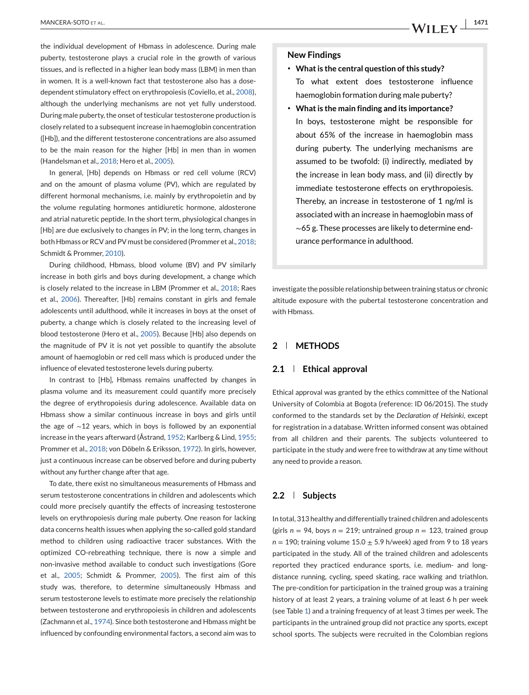the individual development of Hbmass in adolescence. During male puberty, testosterone plays a crucial role in the growth of various tissues, and is reflected in a higher lean body mass (LBM) in men than in women. It is a well-known fact that testosterone also has a dosedependent stimulatory effect on erythropoiesis (Coviello, et al., [2008\)](#page-10-0), although the underlying mechanisms are not yet fully understood. During male puberty, the onset of testicular testosterone production is closely related to a subsequent increase in haemoglobin concentration ([Hb]), and the different testosterone concentrations are also assumed to be the main reason for the higher [Hb] in men than in women (Handelsman et al., [2018;](#page-10-0) Hero et al., [2005\)](#page-10-0).

In general, [Hb] depends on Hbmass or red cell volume (RCV) and on the amount of plasma volume (PV), which are regulated by different hormonal mechanisms, i.e. mainly by erythropoietin and by the volume regulating hormones antidiuretic hormone, aldosterone and atrial naturetic peptide. In the short term, physiological changes in [Hb] are due exclusively to changes in PV; in the long term, changes in both Hbmass or RCV and PV must be considered (Prommer et al., [2018;](#page-11-0) Schmidt & Prommer, [2010\)](#page-11-0).

During childhood, Hbmass, blood volume (BV) and PV similarly increase in both girls and boys during development, a change which is closely related to the increase in LBM (Prommer et al., [2018;](#page-11-0) Raes et al., [2006\)](#page-11-0). Thereafter, [Hb] remains constant in girls and female adolescents until adulthood, while it increases in boys at the onset of puberty, a change which is closely related to the increasing level of blood testosterone (Hero et al., [2005\)](#page-10-0). Because [Hb] also depends on the magnitude of PV it is not yet possible to quantify the absolute amount of haemoglobin or red cell mass which is produced under the influence of elevated testosterone levels during puberty.

In contrast to [Hb], Hbmass remains unaffected by changes in plasma volume and its measurement could quantify more precisely the degree of erythropoiesis during adolescence. Available data on Hbmass show a similar continuous increase in boys and girls until the age of ∼12 years, which in boys is followed by an exponential increase in the years afterward (Åstrand, [1952;](#page-10-0) Karlberg & Lind, [1955;](#page-10-0) Prommer et al., [2018;](#page-11-0) von Döbeln & Eriksson, [1972\)](#page-11-0). In girls, however, just a continuous increase can be observed before and during puberty without any further change after that age.

To date, there exist no simultaneous measurements of Hbmass and serum testosterone concentrations in children and adolescents which could more precisely quantify the effects of increasing testosterone levels on erythropoiesis during male puberty. One reason for lacking data concerns health issues when applying the so-called gold standard method to children using radioactive tracer substances. With the optimized CO-rebreathing technique, there is now a simple and non-invasive method available to conduct such investigations (Gore et al., [2005;](#page-10-0) Schmidt & Prommer, [2005\)](#page-11-0). The first aim of this study was, therefore, to determine simultaneously Hbmass and serum testosterone levels to estimate more precisely the relationship between testosterone and erythropoiesis in children and adolescents (Zachmann et al., [1974\)](#page-11-0). Since both testosterone and Hbmass might be influenced by confounding environmental factors, a second aim was to

#### **New Findings**

- ∙ **What is the central question of this study?** To what extent does testosterone influence haemoglobin formation during male puberty?
- ∙ **What is the main finding and its importance?**
- In boys, testosterone might be responsible for about 65% of the increase in haemoglobin mass during puberty. The underlying mechanisms are assumed to be twofold: (i) indirectly, mediated by the increase in lean body mass, and (ii) directly by immediate testosterone effects on erythropoiesis. Thereby, an increase in testosterone of 1 ng/ml is associated with an increase in haemoglobin mass of ∼65 g. These processes are likely to determine endurance performance in adulthood.

investigate the possible relationship between training status or chronic altitude exposure with the pubertal testosterone concentration and with Hbmass.

# **2 METHODS**

#### **2.1 Ethical approval**

Ethical approval was granted by the ethics committee of the National University of Colombia at Bogota (reference: ID 06/2015). The study conformed to the standards set by the *Declaration of Helsinki*, except for registration in a database. Written informed consent was obtained from all children and their parents. The subjects volunteered to participate in the study and were free to withdraw at any time without any need to provide a reason.

#### **2.2 Subjects**

In total, 313 healthy and differentially trained children and adolescents (girls  $n = 94$ , boys  $n = 219$ ; untrained group  $n = 123$ , trained group  $n = 190$ ; training volume  $15.0 \pm 5.9$  h/week) aged from 9 to 18 years participated in the study. All of the trained children and adolescents reported they practiced endurance sports, i.e. medium- and longdistance running, cycling, speed skating, race walking and triathlon. The pre-condition for participation in the trained group was a training history of at least 2 years, a training volume of at least 6 h per week (see Table [1\)](#page-2-0) and a training frequency of at least 3 times per week. The participants in the untrained group did not practice any sports, except school sports. The subjects were recruited in the Colombian regions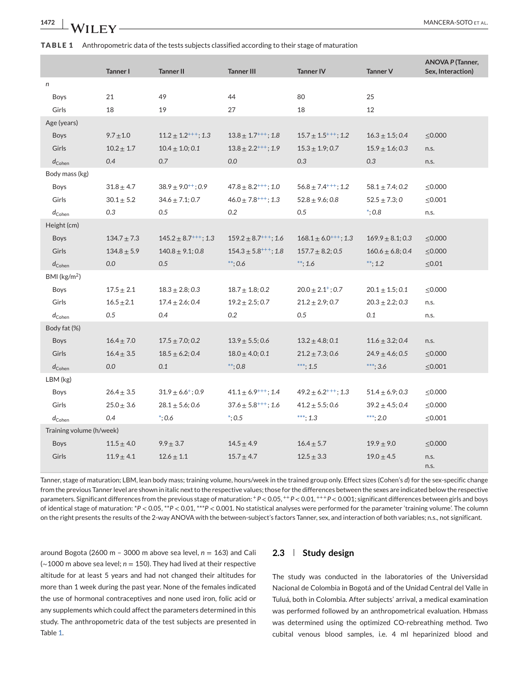<span id="page-2-0"></span>

| 1472 | <b>WILEY</b> |
|------|--------------|
|      |              |

**TABLE 1** Anthropometric data of the tests subjects classified according to their stage of maturation

|                          | <b>Tanner I</b> | <b>Tanner II</b>            | <b>Tanner III</b>           | <b>Tanner IV</b>            | <b>Tanner V</b>      | <b>ANOVA P (Tanner,</b><br>Sex, Interaction) |
|--------------------------|-----------------|-----------------------------|-----------------------------|-----------------------------|----------------------|----------------------------------------------|
| n                        |                 |                             |                             |                             |                      |                                              |
| Boys                     | 21              | 49                          | 44                          | 80                          | 25                   |                                              |
| Girls                    | 18              | 19                          | 27                          | 18                          | 12                   |                                              |
| Age (years)              |                 |                             |                             |                             |                      |                                              |
| Boys                     | $9.7 \pm 1.0$   | $11.2 \pm 1.2^{+++}$ ; 1.3  | $13.8 \pm 1.7^{+++}$ ; 1.8  | $15.7 \pm 1.5^{+++}$ ; 1.2  | $16.3 \pm 1.5; 0.4$  | $\leq 0.000$                                 |
| Girls                    | $10.2 \pm 1.7$  | $10.4 \pm 1.0; 0.1$         | $13.8 \pm 2.2^{+++}$ ; 1.9  | $15.3 \pm 1.9; 0.7$         | $15.9 \pm 1.6; 0.3$  | n.s.                                         |
| $d_{\mathsf{Cohen}}$     | 0.4             | 0.7                         | 0.0                         | 0.3                         | 0.3                  | n.s.                                         |
| Body mass (kg)           |                 |                             |                             |                             |                      |                                              |
| Boys                     | $31.8 \pm 4.7$  | $38.9 \pm 9.0^{++}$ ; 0.9   | $47.8 \pm 8.2^{+++}$ ; 1.0  | $56.8 \pm 7.4^{+++}$ ; 1.2  | $58.1 \pm 7.4$ ; 0.2 | $\leq 0.000$                                 |
| Girls                    | $30.1 \pm 5.2$  | $34.6 \pm 7.1$ ; 0.7        | $46.0 \pm 7.8^{+++}$ ; 1.3  | $52.8 \pm 9.6$ ; 0.8        | $52.5 \pm 7.3; 0$    | $\leq 0.001$                                 |
| $d_{\rm Cohen}$          | 0.3             | 0.5                         | 0.2                         | 0.5                         | $*; 0.8$             | n.s.                                         |
| Height (cm)              |                 |                             |                             |                             |                      |                                              |
| <b>Boys</b>              | $134.7 \pm 7.3$ | $145.2 \pm 8.7^{+++}$ ; 1.3 | $159.2 \pm 8.7^{+++}$ ; 1.6 | $168.1 \pm 6.0^{+++}$ ; 1.3 | $169.9 \pm 8.1; 0.3$ | $\leq 0.000$                                 |
| Girls                    | $134.8 \pm 5.9$ | $140.8 \pm 9.1; 0.8$        | $154.3 \pm 5.8^{+++}$ ; 1.8 | $157.7 \pm 8.2; 0.5$        | $160.6 \pm 6.8; 0.4$ | $\leq 0.000$                                 |
| $d_{\rm Cohen}$          | 0.0             | 0.5                         | $***; 0.6$                  | $**; 1.6$                   | **; 1.2              | $\leq 0.01$                                  |
| BMI (kg/m <sup>2</sup> ) |                 |                             |                             |                             |                      |                                              |
| Boys                     | $17.5 \pm 2.1$  | $18.3 \pm 2.8$ ; 0.3        | $18.7 \pm 1.8; 0.2$         | $20.0 \pm 2.1^+; 0.7$       | $20.1 \pm 1.5; 0.1$  | $\leq 0.000$                                 |
| Girls                    | $16.5 + 2.1$    | $17.4 \pm 2.6$ ; 0.4        | $19.2 \pm 2.5; 0.7$         | $21.2 \pm 2.9; 0.7$         | $20.3 \pm 2.2; 0.3$  | n.s.                                         |
| $d_{\rm Cohen}$          | 0.5             | 0.4                         | 0.2                         | 0.5                         | 0.1                  | n.s.                                         |
| Body fat (%)             |                 |                             |                             |                             |                      |                                              |
| <b>Boys</b>              | $16.4 \pm 7.0$  | $17.5 \pm 7.0; 0.2$         | $13.9 \pm 5.5$ ; 0.6        | $13.2 \pm 4.8; 0.1$         | $11.6 \pm 3.2; 0.4$  | n.s.                                         |
| Girls                    | $16.4 \pm 3.5$  | $18.5 \pm 6.2; 0.4$         | $18.0 \pm 4.0; 0.1$         | $21.2 \pm 7.3; 0.6$         | $24.9 \pm 4.6$ ; 0.5 | $\leq 0.000$                                 |
| $d_{\rm Cohen}$          | 0.0             | 0.1                         | $*$ : 0.8                   | ***; 1.5                    | ***; 3.6             | $\leq 0.001$                                 |
| LBM (kg)                 |                 |                             |                             |                             |                      |                                              |
| Boys                     | $26.4 \pm 3.5$  | $31.9 \pm 6.6^+$ ; 0.9      | $41.1 \pm 6.9^{+++}$ ; 1.4  | $49.2 \pm 6.2^{+++}$ ; 1.3  | $51.4 \pm 6.9; 0.3$  | $\leq 0.000$                                 |
| Girls                    | $25.0 \pm 3.6$  | $28.1 \pm 5.6$ ; 0.6        | $37.6 \pm 5.8^{+++}$ ; 1.6  | $41.2 \pm 5.5; 0.6$         | $39.2 \pm 4.5; 0.4$  | $\leq 0.000$                                 |
| $d_{\rm Cohen}$          | 0.4             | $^*; 0.6$                   | $*; 0.5$                    | ***; 1.3                    | ***; 2.0             | $\leq 0.001$                                 |
| Training volume (h/week) |                 |                             |                             |                             |                      |                                              |
| Boys                     | $11.5 \pm 4.0$  | $9.9 \pm 3.7$               | $14.5 \pm 4.9$              | $16.4 \pm 5.7$              | $19.9 \pm 9.0$       | $\leq 0.000$                                 |
| Girls                    | $11.9 \pm 4.1$  | $12.6 \pm 1.1$              | $15.7 \pm 4.7$              | $12.5 \pm 3.3$              | $19.0 \pm 4.5$       | n.s.<br>n.s.                                 |

Tanner, stage of maturation; LBM, lean body mass; training volume, hours/week in the trained group only. Effect sizes (Cohen's *d*) for the sex-specific change from the previous Tanner level are shown in italic next to the respective values; those for the differences between the sexes are indicated below the respective parameters. Significant differences from the previous stage of maturation:  $^+P < 0.05$ ,  $^{++}P < 0.01$ ,  $^{++}P < 0.001$ ; significant differences between girls and boys of identical stage of maturation: \**P* < 0.05, \*\**P* < 0.01, \*\*\**P* < 0.001. No statistical analyses were performed for the parameter 'training volume'. The column

on the right presents the results of the 2-way ANOVA with the between-subject's factors Tanner, sex, and interaction of both variables; n.s., not significant.

around Bogota (2600 m - 3000 m above sea level,  $n = 163$ ) and Cali (∼1000 m above sea level; *n* = 150). They had lived at their respective altitude for at least 5 years and had not changed their altitudes for more than 1 week during the past year. None of the females indicated the use of hormonal contraceptives and none used iron, folic acid or any supplements which could affect the parameters determined in this study. The anthropometric data of the test subjects are presented in Table 1.

### **2.3 Study design**

The study was conducted in the laboratories of the Universidad Nacional de Colombia in Bogotá and of the Unidad Central del Valle in Tuluá, both in Colombia. After subjects' arrival, a medical examination was performed followed by an anthropometrical evaluation. Hbmass was determined using the optimized CO-rebreathing method. Two cubital venous blood samples, i.e. 4 ml heparinized blood and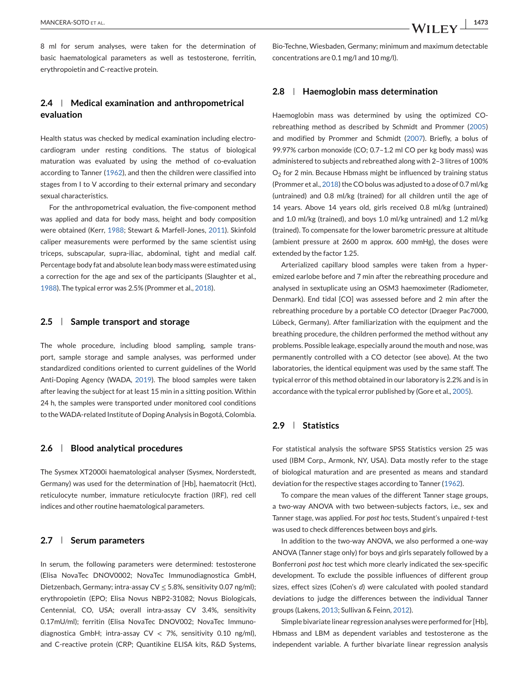8 ml for serum analyses, were taken for the determination of basic haematological parameters as well as testosterone, ferritin, erythropoietin and C-reactive protein.

# **2.4 Medical examination and anthropometrical evaluation**

Health status was checked by medical examination including electrocardiogram under resting conditions. The status of biological maturation was evaluated by using the method of co-evaluation according to Tanner [\(1962\)](#page-11-0), and then the children were classified into stages from I to V according to their external primary and secondary sexual characteristics.

For the anthropometrical evaluation, the five-component method was applied and data for body mass, height and body composition were obtained (Kerr, [1988;](#page-10-0) Stewart & Marfell-Jones, [2011\)](#page-11-0). Skinfold caliper measurements were performed by the same scientist using triceps, subscapular, supra-iliac, abdominal, tight and medial calf. Percentage body fat and absolute lean body mass were estimated using a correction for the age and sex of the participants (Slaughter et al., [1988\)](#page-11-0). The typical error was 2.5% (Prommer et al., [2018\)](#page-11-0).

#### **2.5 Sample transport and storage**

The whole procedure, including blood sampling, sample transport, sample storage and sample analyses, was performed under standardized conditions oriented to current guidelines of the World Anti-Doping Agency (WADA, [2019\)](#page-11-0). The blood samples were taken after leaving the subject for at least 15 min in a sitting position. Within 24 h, the samples were transported under monitored cool conditions to theWADA-related Institute of Doping Analysis in Bogotá, Colombia.

#### **2.6 Blood analytical procedures**

The Sysmex XT2000i haematological analyser (Sysmex, Norderstedt, Germany) was used for the determination of [Hb], haematocrit (Hct), reticulocyte number, immature reticulocyte fraction (IRF), red cell indices and other routine haematological parameters.

# **2.7 Serum parameters**

In serum, the following parameters were determined: testosterone (Elisa NovaTec DNOV0002; NovaTec Immunodiagnostica GmbH, Dietzenbach, Germany; intra-assay  $CV \leq 5.8$ %, sensitivity 0.07 ng/ml); erythropoietin (EPO; Elisa Novus NBP2-31082; Novus Biologicals, Centennial, CO, USA; overall intra-assay CV 3.4%, sensitivity 0.17mU/ml); ferritin (Elisa NovaTec DNOV002; NovaTec Immunodiagnostica GmbH; intra-assay  $CV < 7\%$ , sensitivity 0.10 ng/ml), and C-reactive protein (CRP; Quantikine ELISA kits, R&D Systems,

Bio-Techne, Wiesbaden, Germany; minimum and maximum detectable concentrations are 0.1 mg/l and 10 mg/l).

#### **2.8 Haemoglobin mass determination**

Haemoglobin mass was determined by using the optimized COrebreathing method as described by Schmidt and Prommer [\(2005\)](#page-11-0) and modified by Prommer and Schmidt [\(2007\)](#page-11-0). Briefly, a bolus of 99.97% carbon monoxide (CO; 0.7–1.2 ml CO per kg body mass) was administered to subjects and rebreathed along with 2–3 litres of 100%  $O<sub>2</sub>$  for 2 min. Because Hbmass might be influenced by training status (Prommer et al., [2018\)](#page-11-0) the CO bolus was adjusted to a dose of 0.7 ml/kg (untrained) and 0.8 ml/kg (trained) for all children until the age of 14 years. Above 14 years old, girls received 0.8 ml/kg (untrained) and 1.0 ml/kg (trained), and boys 1.0 ml/kg untrained) and 1.2 ml/kg (trained). To compensate for the lower barometric pressure at altitude (ambient pressure at 2600 m approx. 600 mmHg), the doses were extended by the factor 1.25.

Arterialized capillary blood samples were taken from a hyperemized earlobe before and 7 min after the rebreathing procedure and analysed in sextuplicate using an OSM3 haemoximeter (Radiometer, Denmark). End tidal [CO] was assessed before and 2 min after the rebreathing procedure by a portable CO detector (Draeger Pac7000, Lübeck, Germany). After familiarization with the equipment and the breathing procedure, the children performed the method without any problems. Possible leakage, especially around the mouth and nose, was permanently controlled with a CO detector (see above). At the two laboratories, the identical equipment was used by the same staff. The typical error of this method obtained in our laboratory is 2.2% and is in accordance with the typical error published by (Gore et al., [2005\)](#page-10-0).

# **2.9 Statistics**

For statistical analysis the software SPSS Statistics version 25 was used (IBM Corp., Armonk, NY, USA). Data mostly refer to the stage of biological maturation and are presented as means and standard deviation for the respective stages according to Tanner [\(1962\)](#page-11-0).

To compare the mean values of the different Tanner stage groups, a two-way ANOVA with two between-subjects factors, i.e., sex and Tanner stage, was applied. For *post hoc* tests, Student's unpaired *t*-test was used to check differences between boys and girls.

In addition to the two-way ANOVA, we also performed a one-way ANOVA (Tanner stage only) for boys and girls separately followed by a Bonferroni *post hoc* test which more clearly indicated the sex-specific development. To exclude the possible influences of different group sizes, effect sizes (Cohen's *d*) were calculated with pooled standard deviations to judge the differences between the individual Tanner groups (Lakens, [2013;](#page-10-0) Sullivan & Feinn, [2012\)](#page-11-0).

Simple bivariate linear regression analyses were performed for [Hb], Hbmass and LBM as dependent variables and testosterone as the independent variable. A further bivariate linear regression analysis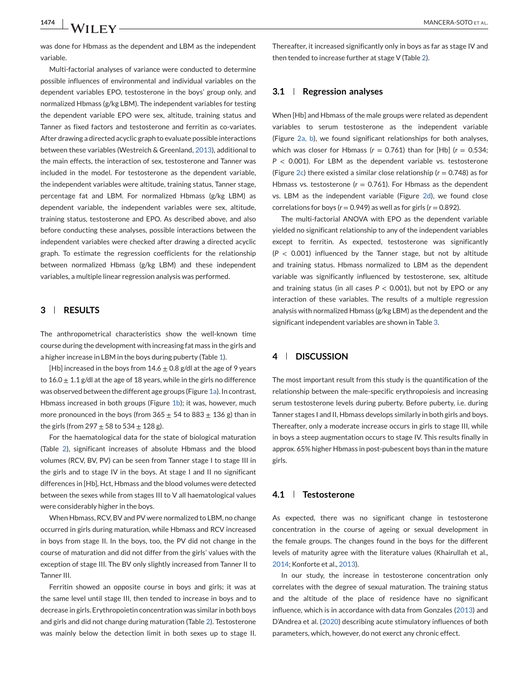was done for Hbmass as the dependent and LBM as the independent variable.

Multi-factorial analyses of variance were conducted to determine possible influences of environmental and individual variables on the dependent variables EPO, testosterone in the boys' group only, and normalized Hbmass (g/kg LBM). The independent variables for testing the dependent variable EPO were sex, altitude, training status and Tanner as fixed factors and testosterone and ferritin as co-variates. After drawing a directed acyclic graph to evaluate possible interactions between these variables (Westreich & Greenland, [2013\)](#page-11-0), additional to the main effects, the interaction of sex, testosterone and Tanner was included in the model. For testosterone as the dependent variable, the independent variables were altitude, training status, Tanner stage, percentage fat and LBM. For normalized Hbmass (g/kg LBM) as dependent variable, the independent variables were sex, altitude, training status, testosterone and EPO. As described above, and also before conducting these analyses, possible interactions between the independent variables were checked after drawing a directed acyclic graph. To estimate the regression coefficients for the relationship between normalized Hbmass (g/kg LBM) and these independent variables, a multiple linear regression analysis was performed.

#### **3 RESULTS**

The anthropometrical characteristics show the well-known time course during the development with increasing fat mass in the girls and a higher increase in LBM in the boys during puberty (Table [1\)](#page-2-0).

[Hb] increased in the boys from  $14.6 \pm 0.8$  g/dl at the age of 9 years to  $16.0 \pm 1.1$  g/dl at the age of 18 years, while in the girls no difference was observed between the different age groups (Figure [1a\)](#page-5-0). In contrast, Hbmass increased in both groups (Figure [1b\)](#page-5-0); it was, however, much more pronounced in the boys (from  $365 \pm 54$  to  $883 \pm 136$  g) than in the girls (from  $297 \pm 58$  to  $534 \pm 128$  g).

For the haematological data for the state of biological maturation (Table [2\)](#page-6-0), significant increases of absolute Hbmass and the blood volumes (RCV, BV, PV) can be seen from Tanner stage I to stage III in the girls and to stage IV in the boys. At stage I and II no significant differences in [Hb], Hct, Hbmass and the blood volumes were detected between the sexes while from stages III to V all haematological values were considerably higher in the boys.

When Hbmass, RCV, BV and PV were normalized to LBM, no change occurred in girls during maturation, while Hbmass and RCV increased in boys from stage II. In the boys, too, the PV did not change in the course of maturation and did not differ from the girls' values with the exception of stage III. The BV only slightly increased from Tanner II to Tanner III.

Ferritin showed an opposite course in boys and girls; it was at the same level until stage III, then tended to increase in boys and to decrease in girls. Erythropoietin concentration was similar in both boys and girls and did not change during maturation (Table [2\)](#page-6-0). Testosterone was mainly below the detection limit in both sexes up to stage II.

Thereafter, it increased significantly only in boys as far as stage IV and then tended to increase further at stage V (Table [2\)](#page-6-0).

#### **3.1 Regression analyses**

When [Hb] and Hbmass of the male groups were related as dependent variables to serum testosterone as the independent variable (Figure [2a, b\)](#page-8-0), we found significant relationships for both analyses, which was closer for Hbmass  $(r = 0.761)$  than for [Hb]  $(r = 0.534;$ *P* < 0.001). For LBM as the dependent variable vs. testosterone (Figure [2c\)](#page-8-0) there existed a similar close relationship (*r* = 0.748) as for Hbmass vs. testosterone ( $r = 0.761$ ). For Hbmass as the dependent vs. LBM as the independent variable (Figure [2d\)](#page-8-0), we found close correlations for boys ( $r = 0.949$ ) as well as for girls ( $r = 0.892$ ).

The multi-factorial ANOVA with EPO as the dependent variable yielded no significant relationship to any of the independent variables except to ferritin. As expected, testosterone was significantly (*P* < 0.001) influenced by the Tanner stage, but not by altitude and training status. Hbmass normalized to LBM as the dependent variable was significantly influenced by testosterone, sex, altitude and training status (in all cases  $P < 0.001$ ), but not by EPO or any interaction of these variables. The results of a multiple regression analysis with normalized Hbmass (g/kg LBM) as the dependent and the significant independent variables are shown in Table [3.](#page-7-0)

# **4 DISCUSSION**

The most important result from this study is the quantification of the relationship between the male-specific erythropoiesis and increasing serum testosterone levels during puberty. Before puberty, i.e. during Tanner stages I and II, Hbmass develops similarly in both girls and boys. Thereafter, only a moderate increase occurs in girls to stage III, while in boys a steep augmentation occurs to stage IV. This results finally in approx. 65% higher Hbmass in post-pubescent boys than in the mature girls.

### **4.1 Testosterone**

As expected, there was no significant change in testosterone concentration in the course of ageing or sexual development in the female groups. The changes found in the boys for the different levels of maturity agree with the literature values (Khairullah et al., [2014;](#page-10-0) Konforte et al., [2013\)](#page-10-0).

In our study, the increase in testosterone concentration only correlates with the degree of sexual maturation. The training status and the altitude of the place of residence have no significant influence, which is in accordance with data from Gonzales [\(2013\)](#page-10-0) and D'Andrea et al. [\(2020\)](#page-10-0) describing acute stimulatory influences of both parameters, which, however, do not exerct any chronic effect.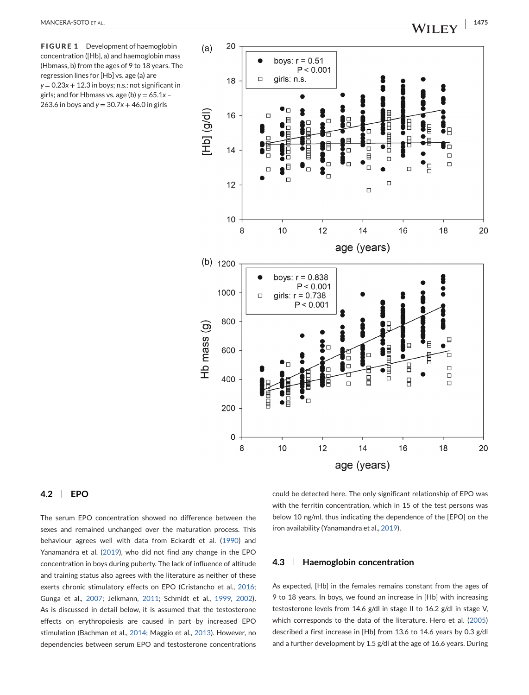<span id="page-5-0"></span>

### **4.2 EPO**

The serum EPO concentration showed no difference between the sexes and remained unchanged over the maturation process. This behaviour agrees well with data from Eckardt et al. [\(1990\)](#page-10-0) and Yanamandra et al. [\(2019\)](#page-11-0), who did not find any change in the EPO concentration in boys during puberty. The lack of influence of altitude and training status also agrees with the literature as neither of these exerts chronic stimulatory effects on EPO (Cristancho et al., [2016;](#page-10-0) Gunga et al., [2007;](#page-10-0) Jelkmann, [2011;](#page-10-0) Schmidt et al., [1999,](#page-11-0) [2002\)](#page-11-0). As is discussed in detail below, it is assumed that the testosterone effects on erythropoiesis are caused in part by increased EPO stimulation (Bachman et al., [2014;](#page-10-0) Maggio et al., [2013\)](#page-10-0). However, no dependencies between serum EPO and testosterone concentrations

could be detected here. The only significant relationship of EPO was with the ferritin concentration, which in 15 of the test persons was below 10 ng/ml, thus indicating the dependence of the [EPO] on the iron availability (Yanamandra et al., [2019\)](#page-11-0).

#### **4.3 Haemoglobin concentration**

As expected, [Hb] in the females remains constant from the ages of 9 to 18 years. In boys, we found an increase in [Hb] with increasing testosterone levels from 14.6 g/dl in stage II to 16.2 g/dl in stage V, which corresponds to the data of the literature. Hero et al. [\(2005\)](#page-10-0) described a first increase in [Hb] from 13.6 to 14.6 years by 0.3 g/dl and a further development by 1.5 g/dl at the age of 16.6 years. During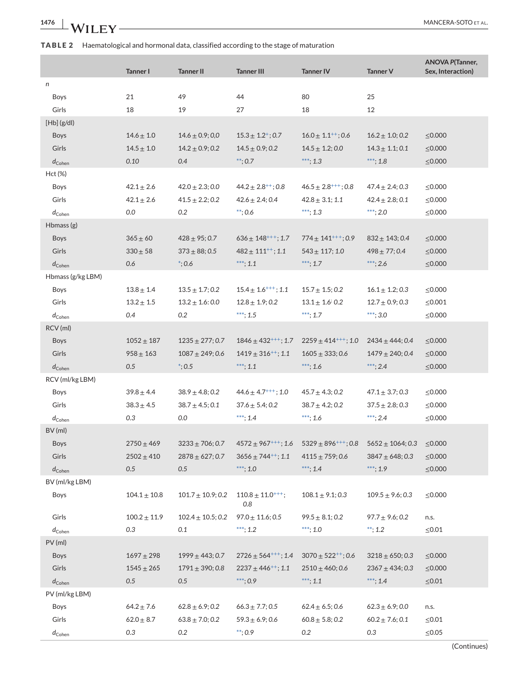# <span id="page-6-0"></span>**TABLE 2** Haematological and hormonal data, classified according to the stage of maturation

|                                      | <b>Tanner I</b>   | <b>Tanner II</b>              | <b>Tanner III</b>                    | <b>Tanner IV</b>                                                            | Tanner V                       | <b>ANOVA P(Tanner,</b><br>Sex, Interaction) |
|--------------------------------------|-------------------|-------------------------------|--------------------------------------|-----------------------------------------------------------------------------|--------------------------------|---------------------------------------------|
| n                                    |                   |                               |                                      |                                                                             |                                |                                             |
| Boys                                 | 21                | 49                            | 44                                   | 80                                                                          | 25                             |                                             |
| Girls                                | 18                | 19                            | 27                                   | 18                                                                          | 12                             |                                             |
| $[Hb]$ (g/dl)                        |                   |                               |                                      |                                                                             |                                |                                             |
| <b>Boys</b>                          | $14.6 \pm 1.0$    | $14.6 \pm 0.9; 0.0$           | $15.3 \pm 1.2^+; 0.7$                | $16.0 \pm 1.1^{++}$ ; 0.6                                                   | $16.2 \pm 1.0; 0.2$            | $\leq 0.000$                                |
| Girls                                | $14.5 \pm 1.0$    | $14.2 \pm 0.9; 0.2$           | $14.5 \pm 0.9; 0.2$                  | $14.5 \pm 1.2; 0.0$                                                         | $14.3 \pm 1.1; 0.1$            | $\leq 0.000$                                |
| $d_{\rm Cohen}$                      | 0.10              | 0.4                           | $**; 0.7$                            | ***; 1.3                                                                    | ***; 1.8                       | $\leq 0.000$                                |
| Hct (%)                              |                   |                               |                                      |                                                                             |                                |                                             |
| Boys                                 | $42.1 \pm 2.6$    | $42.0 \pm 2.3; 0.0$           | $44.2 \pm 2.8^{++}$ ; 0.8            | $46.5 \pm 2.8^{+++}$ ; 0.8                                                  | $47.4 \pm 2.4$ ; 0.3           | $\leq 0.000$                                |
| Girls                                | $42.1 \pm 2.6$    | $41.5 \pm 2.2; 0.2$           | $42.6 \pm 2.4$ ; 0.4                 | $42.8 \pm 3.1$ ; 1.1                                                        | $42.4 \pm 2.8; 0.1$            | $\leq 0.000$                                |
| $d_{\rm Cohen}$<br>Hbmass $(g)$      | 0.0               | 0.2                           | $***: 0.6$                           | ***; 1.3                                                                    | ***; 2.0                       | $\leq 0.000$                                |
|                                      |                   |                               |                                      |                                                                             |                                |                                             |
| <b>Boys</b><br>Girls                 | $365 \pm 60$      | $428 \pm 95$ ; 0.7            | $636 \pm 148^{+++}$ ; 1.7            | $774 \pm 141^{+++}$ ; 0.9                                                   | $832 \pm 143; 0.4$             | $\leq 0.000$                                |
|                                      | $330 + 58$<br>0.6 | $373 \pm 88; 0.5$<br>$*; 0.6$ | $482 \pm 111^{++}$ ; 1.1<br>***; 1.1 | $543 \pm 117; 1.0$<br>***; 1.7                                              | $498 \pm 77$ ; 0.4<br>***; 2.6 | $\leq 0.000$<br>$\leq 0.000$                |
| $d_{\rm Cohen}$<br>Hbmass (g/kg LBM) |                   |                               |                                      |                                                                             |                                |                                             |
| Boys                                 | $13.8 \pm 1.4$    | $13.5 \pm 1.7; 0.2$           | $15.4 \pm 1.6^{+++}$ ; 1.1           | $15.7 \pm 1.5; 0.2$                                                         | $16.1 \pm 1.2; 0.3$            | $\leq 0.000$                                |
| Girls                                | $13.2 \pm 1.5$    | $13.2 \pm 1.6:0.0$            | $12.8 \pm 1.9; 0.2$                  | $13.1 \pm 1.6$ ; 0.2                                                        | $12.7 \pm 0.9; 0.3$            | $\leq 0.001$                                |
| $d_{\rm Cohen}$                      | 0.4               | 0.2                           | ***; 1.5                             | ***; 1.7                                                                    | ***; 3.0                       | $\leq 0.000$                                |
| RCV (ml)                             |                   |                               |                                      |                                                                             |                                |                                             |
| <b>Boys</b>                          | $1052 \pm 187$    | $1235 \pm 277; 0.7$           | $1846 \pm 432^{+++}$ ; 1.7           | $2259 \pm 414^{+++}$ ; 1.0                                                  | $2434 \pm 444$ ; 0.4           | $\leq 0.000$                                |
| Girls                                | $958 \pm 163$     | $1087 \pm 249; 0.6$           | $1419 \pm 316^{++}$ ; 1.1            | $1605 \pm 333; 0.6$                                                         | $1479 \pm 240; 0.4$            | $\leq 0.000$                                |
| $d_{\rm Cohen}$                      | 0.5               | $*; 0.5$                      | $***$ ; 1.1                          | $***: 1.6$                                                                  | $***: 2.4$                     | $\leq 0.000$                                |
| RCV (ml/kg LBM)                      |                   |                               |                                      |                                                                             |                                |                                             |
| Boys                                 | $39.8 \pm 4.4$    | $38.9 \pm 4.8; 0.2$           | $44.6 \pm 4.7^{+++}$ ; 1.0           | $45.7 \pm 4.3; 0.2$                                                         | $47.1\pm3.7;0.3$               | $\leq 0.000$                                |
| Girls                                | $38.3 \pm 4.5$    | $38.7 \pm 4.5; 0.1$           | $37.6 \pm 5.4; 0.2$                  | $38.7 \pm 4.2; 0.2$                                                         | $37.5 \pm 2.8; 0.3$            | $\leq 0.000$                                |
| $d_{\rm Cohen}$                      | 0.3               | 0.0                           | ***; 1.4                             | $***; 1.6$                                                                  | ***; 2.4                       | $\leq 0.000$                                |
| BV (ml)                              |                   |                               |                                      |                                                                             |                                |                                             |
| <b>Boys</b>                          | $2750 \pm 469$    | $3233 \pm 706$ ; 0.7          |                                      | $4572 \pm 967^{+++}$ ; 1.6 5329 $\pm 896^{+++}$ ; 0.8 5652 $\pm 1064$ ; 0.3 |                                | $\leq 0.000$                                |
| Girls                                | $2502 \pm 410$    | $2878 \pm 627; 0.7$           | $3656 \pm 744^{++}$ ; 1.1            | $4115 \pm 759; 0.6$                                                         | $3847 \pm 648; 0.3$            | $\leq 0.000$                                |
| $d_{\mathsf{Cohen}}$                 | 0.5               | 0.5                           | $***; 1.0$                           | ***; 1.4                                                                    | ***; 1.9                       | $\leq$ 0.000                                |
| BV (ml/kg LBM)                       |                   |                               |                                      |                                                                             |                                |                                             |
| Boys                                 | $104.1 \pm 10.8$  | $101.7 \pm 10.9; 0.2$         | $110.8 \pm 11.0^{+++}$ ;<br>0.8      | $108.1 \pm 9.1; 0.3$                                                        | $109.5 \pm 9.6; 0.3$           | $\leq 0.000$                                |
| Girls                                | $100.2 \pm 11.9$  | $102.4 \pm 10.5; 0.2$         | $97.0\pm11.6;0.5$                    | $99.5 \pm 8.1; 0.2$                                                         | $97.7 \pm 9.6; 0.2$            | n.s.                                        |
| $d_{\rm Cohen}$                      | 0.3               | 0.1                           | ***; $1.2$                           | ***; 1.0                                                                    | **; $1.2$                      | $\leq 0.01$                                 |
| PV (ml)                              |                   |                               |                                      |                                                                             |                                |                                             |
| Boys                                 | $1697 + 298$      | $1999 \pm 443; 0.7$           | $2726 \pm 564^{+++}$ ; 1.4           | $3070 \pm 522^{++}$ ; 0.6                                                   | $3218 \pm 650; 0.3$            | $\leq 0.000$                                |
| Girls                                | $1545 \pm 265$    | $1791 \pm 390; 0.8$           | $2237 \pm 446^{++}$ ; 1.1            | $2510 \pm 460; 0.6$                                                         | $2367 \pm 434; 0.3$            | $\leq 0.000$                                |
| $d_{\mathsf{Cohen}}$                 | 0.5               | 0.5                           | $***;0.9$                            | ***; 1.1                                                                    | ***; $1.4$                     | $\leq 0.01$                                 |
| PV (ml/kg LBM)                       |                   |                               |                                      |                                                                             |                                |                                             |
| Boys                                 | $64.2 \pm 7.6$    | $62.8 \pm 6.9; 0.2$           | $66.3 \pm 7.7; 0.5$                  | $62.4 \pm 6.5; 0.6$                                                         | $62.3 \pm 6.9; 0.0$            | n.s.                                        |
| Girls                                | $62.0 \pm 8.7$    | $63.8 \pm 7.0; 0.2$           | $59.3 \pm 6.9; 0.6$                  | $60.8 \pm 5.8; 0.2$                                                         | $60.2 \pm 7.6; 0.1$            | $\leq 0.01$                                 |
| $d_{\mathsf{Cohen}}$                 | 0.3               | 0.2                           | $**; 0.9$                            | 0.2                                                                         | 0.3                            | $\leq 0.05$                                 |

(Continues)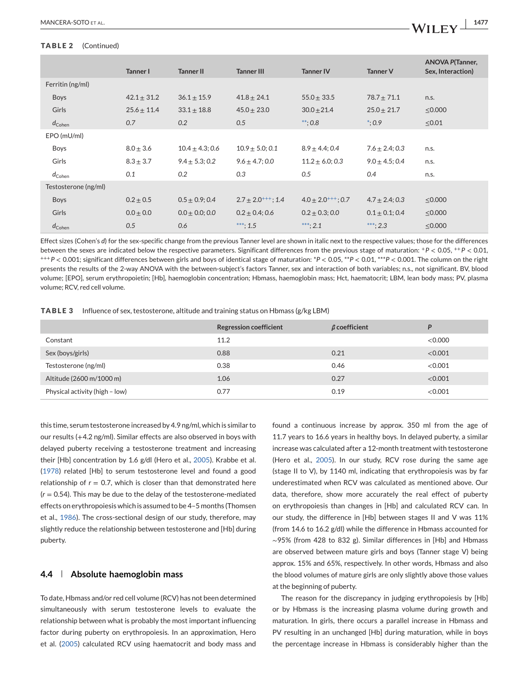#### <span id="page-7-0"></span>**TABLE 2** (Continued)

|                      | Tanner I        | <b>Tanner II</b>    | <b>Tanner III</b>         | <b>Tanner IV</b>          | <b>Tanner V</b>     | <b>ANOVA P(Tanner,</b><br>Sex, Interaction) |
|----------------------|-----------------|---------------------|---------------------------|---------------------------|---------------------|---------------------------------------------|
| Ferritin (ng/ml)     |                 |                     |                           |                           |                     |                                             |
| <b>Boys</b>          | $42.1 \pm 31.2$ | $36.1 \pm 15.9$     | $41.8 \pm 24.1$           | $55.0 \pm 33.5$           | $78.7 \pm 71.1$     | n.s.                                        |
| Girls                | $25.6 \pm 11.4$ | $33.1 \pm 18.8$     | $45.0 \pm 23.0$           | $30.0 + 21.4$             | $25.0 \pm 21.7$     | $\leq$ 0.000                                |
| $d_{\rm Cohen}$      | 0.7             | 0.2                 | 0.5                       | $***: 0.8$                | $*: 0.9$            | $\leq 0.01$                                 |
| EPO (mU/ml)          |                 |                     |                           |                           |                     |                                             |
| <b>Boys</b>          | $8.0 \pm 3.6$   | $10.4 \pm 4.3; 0.6$ | $10.9 \pm 5.0; 0.1$       | $8.9 \pm 4.4$ ; 0.4       | $7.6 \pm 2.4$ ; 0.3 | n.s.                                        |
| Girls                | $8.3 \pm 3.7$   | $9.4 \pm 5.3; 0.2$  | $9.6 \pm 4.7$ ; 0.0       | $11.2 \pm 6.0; 0.3$       | $9.0 \pm 4.5$ ; 0.4 | n.s.                                        |
| $d_{\rm Cohen}$      | 0.1             | 0.2                 | 0.3                       | 0.5                       | 0.4                 | n.s.                                        |
| Testosterone (ng/ml) |                 |                     |                           |                           |                     |                                             |
| <b>Boys</b>          | $0.2 \pm 0.5$   | $0.5 \pm 0.9; 0.4$  | $2.7 \pm 2.0^{+++}$ ; 1.4 | $4.0 \pm 2.0^{+++}$ ; 0.7 | $4.7 \pm 2.4$ ; 0.3 | $\leq$ 0.000                                |
| Girls                | $0.0 \pm 0.0$   | $0.0 \pm 0.0; 0.0$  | $0.2 \pm 0.4$ ; 0.6       | $0.2 \pm 0.3; 0.0$        | $0.1 \pm 0.1; 0.4$  | $\leq$ 0.000                                |
| $d_{\rm Cohen}$      | 0.5             | 0.6                 | ***: $1.5$                | ***; 2.1                  | ***; 2.3            | $\leq$ 0.000                                |

Effect sizes (Cohen's *d*) for the sex-specific change from the previous Tanner level are shown in italic next to the respective values; those for the differences between the sexes are indicated below the respective parameters. Significant differences from the previous stage of maturation: <sup>+</sup>*P* < 0.05, ++*P* < 0.01, +++*P* < 0.001; significant differences between girls and boys of identical stage of maturation: \**P* < 0.05, \*\**P* < 0.01, \*\*\**P* < 0.001. The column on the right presents the results of the 2-way ANOVA with the between-subject's factors Tanner, sex and interaction of both variables; n.s., not significant. BV, blood volume; [EPO], serum erythropoietin; [Hb], haemoglobin concentration; Hbmass, haemoglobin mass; Hct, haematocrit; LBM, lean body mass; PV, plasma volume; RCV, red cell volume.

**TABLE 3** Influence of sex, testosterone, altitude and training status on Hbmass (g/kg LBM)

|                                | <b>Regression coefficient</b> | $\beta$ coefficient | D       |
|--------------------------------|-------------------------------|---------------------|---------|
| Constant                       | 11.2                          |                     | <0.000  |
| Sex (boys/girls)               | 0.88                          | 0.21                | < 0.001 |
| Testosterone (ng/ml)           | 0.38                          | 0.46                | < 0.001 |
| Altitude (2600 m/1000 m)       | 1.06                          | 0.27                | < 0.001 |
| Physical activity (high - low) | 0.77                          | 0.19                | < 0.001 |

this time, serum testosterone increased by 4.9 ng/ml, which is similar to our results (+4.2 ng/ml). Similar effects are also observed in boys with delayed puberty receiving a testosterone treatment and increasing their [Hb] concentration by 1.6 g/dl (Hero et al., [2005\)](#page-10-0). Krabbe et al. [\(1978\)](#page-10-0) related [Hb] to serum testosterone level and found a good relationship of  $r = 0.7$ , which is closer than that demonstrated here (*r* = 0.54). This may be due to the delay of the testosterone-mediated effects on erythropoiesis which is assumed to be 4–5 months (Thomsen et al., [1986\)](#page-11-0). The cross-sectional design of our study, therefore, may slightly reduce the relationship between testosterone and [Hb] during puberty.

#### **4.4 Absolute haemoglobin mass**

To date, Hbmass and/or red cell volume (RCV) has not been determined simultaneously with serum testosterone levels to evaluate the relationship between what is probably the most important influencing factor during puberty on erythropoiesis. In an approximation, Hero et al. [\(2005\)](#page-10-0) calculated RCV using haematocrit and body mass and

found a continuous increase by approx. 350 ml from the age of 11.7 years to 16.6 years in healthy boys. In delayed puberty, a similar increase was calculated after a 12-month treatment with testosterone (Hero et al., [2005\)](#page-10-0). In our study, RCV rose during the same age (stage II to V), by 1140 ml, indicating that erythropoiesis was by far underestimated when RCV was calculated as mentioned above. Our data, therefore, show more accurately the real effect of puberty on erythropoiesis than changes in [Hb] and calculated RCV can. In our study, the difference in [Hb] between stages II and V was 11% (from 14.6 to 16.2 g/dl) while the difference in Hbmass accounted for ∼95% (from 428 to 832 g). Similar differences in [Hb] and Hbmass are observed between mature girls and boys (Tanner stage V) being approx. 15% and 65%, respectively. In other words, Hbmass and also the blood volumes of mature girls are only slightly above those values at the beginning of puberty.

The reason for the discrepancy in judging erythropoiesis by [Hb] or by Hbmass is the increasing plasma volume during growth and maturation. In girls, there occurs a parallel increase in Hbmass and PV resulting in an unchanged [Hb] during maturation, while in boys the percentage increase in Hbmass is considerably higher than the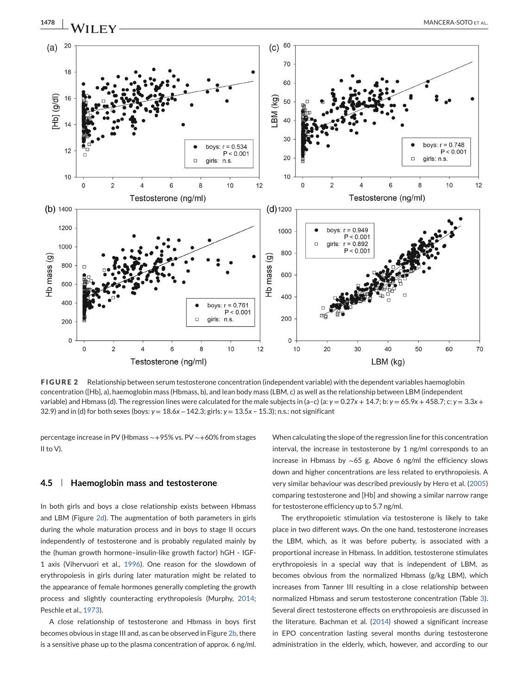<span id="page-8-0"></span>

Testosterone (ng/ml) LBM (kg) **FIGURE 2** Relationship between serum testosterone concentration (independent variable) with the dependent variables haemoglobin concentration ([Hb], a), haemoglobin mass (Hbmass, b), and lean body mass (LBM, c) as well as the relationship between LBM (independent variable) and Hbmass (d). The regression lines were calculated for the male subjects in (a-c) (a:  $y = 0.27x + 14.7$ ; b:  $y = 65.9x + 458.7$ ; c:  $y = 3.3x +$ 

 $12$ 

 $\mathbf 0$ 

10

20

percentage increase in PV (Hbmass ∼+95% vs. PV ∼+60% from stages II to V).

4

32.9) and in (d) for both sexes (boys: *y* = 18.6*x* −142.3; girls: *y* = 13.5*x* – 15.3); n.s.: not significant

8

10

6

#### **4.5 Haemoglobin mass and testosterone**

 $\overline{2}$ 

 $\mathsf{C}$ 

0

In both girls and boys a close relationship exists between Hbmass and LBM (Figure 2d). The augmentation of both parameters in girls during the whole maturation process and in boys to stage II occurs independently of testosterone and is probably regulated mainly by the (human growth hormone–insulin-like growth factor) hGH - IGF-1 axis (Vihervuori et al., [1996\)](#page-11-0). One reason for the slowdown of erythropoiesis in girls during later maturation might be related to the appearance of female hormones generally completing the growth process and slightly counteracting erythropoiesis (Murphy, [2014;](#page-11-0) Peschle et al., [1973\)](#page-11-0).

A close relationship of testosterone and Hbmass in boys first becomes obvious in stage III and, as can be observed in Figure 2b, there is a sensitive phase up to the plasma concentration of approx. 6 ng/ml.

When calculating the slope of the regression line for this concentration interval, the increase in testosterone by 1 ng/ml corresponds to an increase in Hbmass by ∼65 g. Above 6 ng/ml the efficiency slows down and higher concentrations are less related to erythropoiesis. A very similar behaviour was described previously by Hero et al. [\(2005\)](#page-10-0) comparing testosterone and [Hb] and showing a similar narrow range for testosterone efficiency up to 5.7 ng/ml.

40

50

60

70

30

The erythropoietic stimulation via testosterone is likely to take place in two different ways. On the one hand, testosterone increases the LBM, which, as it was before puberty, is associated with a proportional increase in Hbmass. In addition, testosterone stimulates erythropoiesis in a special way that is independent of LBM, as becomes obvious from the normalized Hbmass (g/kg LBM), which increases from Tanner III resulting in a close relationship between normalized Hbmass and serum testosterone concentration (Table [3\)](#page-7-0). Several direct testosterone effects on erythropoiesis are discussed in the literature. Bachman et al. [\(2014\)](#page-10-0) showed a significant increase in EPO concentration lasting several months during testosterone administration in the elderly, which, however, and according to our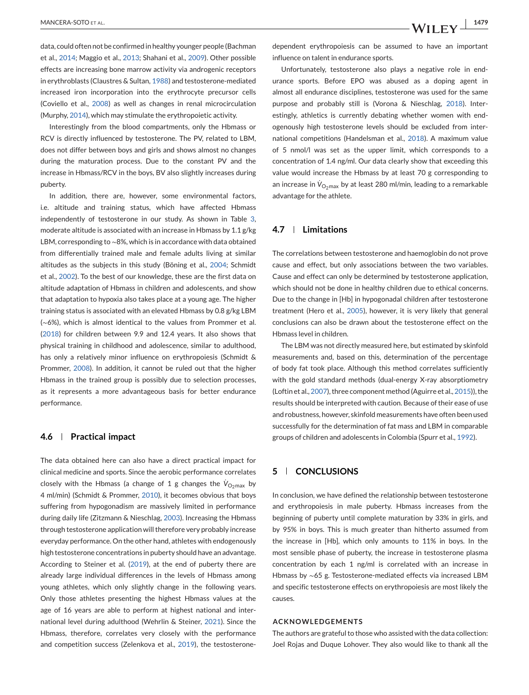data, could often not be confirmed in healthy younger people (Bachman et al., [2014;](#page-10-0) Maggio et al., [2013;](#page-10-0) Shahani et al., [2009\)](#page-11-0). Other possible effects are increasing bone marrow activity via androgenic receptors in erythroblasts (Claustres & Sultan, [1988\)](#page-10-0) and testosterone-mediated increased iron incorporation into the erythrocyte precursor cells (Coviello et al., [2008\)](#page-10-0) as well as changes in renal microcirculation (Murphy, [2014\)](#page-11-0), which may stimulate the erythropoietic activity.

Interestingly from the blood compartments, only the Hbmass or RCV is directly influenced by testosterone. The PV, related to LBM, does not differ between boys and girls and shows almost no changes during the maturation process. Due to the constant PV and the increase in Hbmass/RCV in the boys, BV also slightly increases during puberty.

In addition, there are, however, some environmental factors, i.e. altitude and training status, which have affected Hbmass independently of testosterone in our study. As shown in Table [3,](#page-7-0) moderate altitude is associated with an increase in Hbmass by 1.1 g/kg LBM, corresponding to ∼8%, which is in accordance with data obtained from differentially trained male and female adults living at similar altitudes as the subjects in this study (Böning et al., [2004;](#page-10-0) Schmidt et al., [2002\)](#page-11-0). To the best of our knowledge, these are the first data on altitude adaptation of Hbmass in children and adolescents, and show that adaptation to hypoxia also takes place at a young age. The higher training status is associated with an elevated Hbmass by 0.8 g/kg LBM (∼6%), which is almost identical to the values from Prommer et al. [\(2018\)](#page-11-0) for children between 9.9 and 12.4 years. It also shows that physical training in childhood and adolescence, similar to adulthood, has only a relatively minor influence on erythropoiesis (Schmidt & Prommer, [2008\)](#page-11-0). In addition, it cannot be ruled out that the higher Hbmass in the trained group is possibly due to selection processes, as it represents a more advantageous basis for better endurance performance.

#### **4.6 Practical impact**

The data obtained here can also have a direct practical impact for clinical medicine and sports. Since the aerobic performance correlates closely with the Hbmass (a change of 1 g changes the  $\dot{\mathsf{V}}_{\mathsf{O}_2\mathsf{max}}$  by 4 ml/min) (Schmidt & Prommer, [2010\)](#page-11-0), it becomes obvious that boys suffering from hypogonadism are massively limited in performance during daily life (Zitzmann & Nieschlag, [2003\)](#page-11-0). Increasing the Hbmass through testosterone application will therefore very probably increase everyday performance. On the other hand, athletes with endogenously high testosterone concentrations in puberty should have an advantage. According to Steiner et al. [\(2019\)](#page-11-0), at the end of puberty there are already large individual differences in the levels of Hbmass among young athletes, which only slightly change in the following years. Only those athletes presenting the highest Hbmass values at the age of 16 years are able to perform at highest national and international level during adulthood (Wehrlin & Steiner, [2021\)](#page-11-0). Since the Hbmass, therefore, correlates very closely with the performance and competition success (Zelenkova et al., [2019\)](#page-11-0), the testosteronedependent erythropoiesis can be assumed to have an important influence on talent in endurance sports.

Unfortunately, testosterone also plays a negative role in endurance sports. Before EPO was abused as a doping agent in almost all endurance disciplines, testosterone was used for the same purpose and probably still is (Vorona & Nieschlag, [2018\)](#page-11-0). Interestingly, athletics is currently debating whether women with endogenously high testosterone levels should be excluded from international competitions (Handelsman et al., [2018\)](#page-10-0). A maximum value of 5 nmol/l was set as the upper limit, which corresponds to a concentration of 1.4 ng/ml. Our data clearly show that exceeding this value would increase the Hbmass by at least 70 g corresponding to an increase in  $\dot{\mathsf{V}}_\mathrm{O_2max}$  by at least 280 ml/min, leading to a remarkable advantage for the athlete.

# **4.7 Limitations**

The correlations between testosterone and haemoglobin do not prove cause and effect, but only associations between the two variables. Cause and effect can only be determined by testosterone application, which should not be done in healthy children due to ethical concerns. Due to the change in [Hb] in hypogonadal children after testosterone treatment (Hero et al., [2005\)](#page-10-0), however, it is very likely that general conclusions can also be drawn about the testosterone effect on the Hbmass level in children.

The LBM was not directly measured here, but estimated by skinfold measurements and, based on this, determination of the percentage of body fat took place. Although this method correlates sufficiently with the gold standard methods (dual-energy X-ray absorptiometry (Loftin et al., [2007\)](#page-10-0), three component method (Aguirre et al., [2015\)](#page-10-0)), the results should be interpreted with caution. Because of their ease of use and robustness, however, skinfold measurements have often been used successfully for the determination of fat mass and LBM in comparable groups of children and adolescents in Colombia (Spurr et al., [1992\)](#page-11-0).

# **5 CONCLUSIONS**

In conclusion, we have defined the relationship between testosterone and erythropoiesis in male puberty. Hbmass increases from the beginning of puberty until complete maturation by 33% in girls, and by 95% in boys. This is much greater than hitherto assumed from the increase in [Hb], which only amounts to 11% in boys. In the most sensible phase of puberty, the increase in testosterone plasma concentration by each 1 ng/ml is correlated with an increase in Hbmass by ∼65 g. Testosterone-mediated effects via increased LBM and specific testosterone effects on erythropoiesis are most likely the causes.

# **ACKNOWLEDGEMENTS**

The authors are grateful to those who assisted with the data collection: Joel Rojas and Duque Lohover. They also would like to thank all the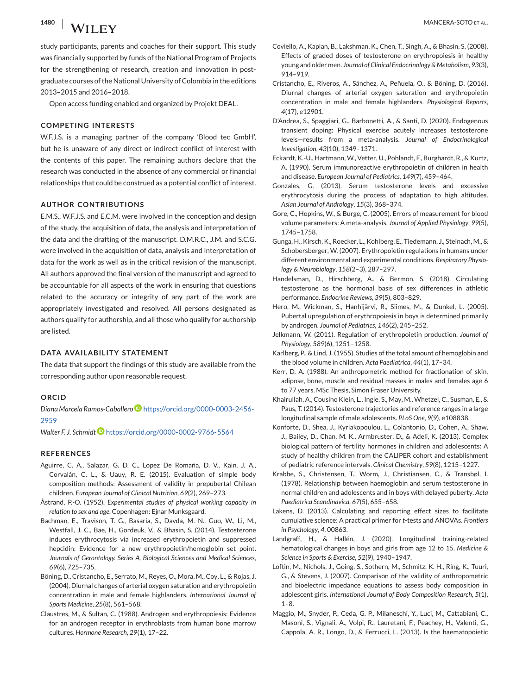<span id="page-10-0"></span>

study participants, parents and coaches for their support. This study was financially supported by funds of the National Program of Projects for the strengthening of research, creation and innovation in postgraduate courses of the National University of Colombia in the editions 2013–2015 and 2016–2018.

Open access funding enabled and organized by Projekt DEAL.

#### **COMPETING INTERESTS**

W.F.J.S. is a managing partner of the company 'Blood tec GmbH', but he is unaware of any direct or indirect conflict of interest with the contents of this paper. The remaining authors declare that the research was conducted in the absence of any commercial or financial relationships that could be construed as a potential conflict of interest.

### **AUTHOR CONTRIBUTIONS**

E.M.S., W.F.J.S. and E.C.M. were involved in the conception and design of the study, the acquisition of data, the analysis and interpretation of the data and the drafting of the manuscript. D.M.R.C., J.M. and S.C.G. were involved in the acquisition of data, analysis and interpretation of data for the work as well as in the critical revision of the manuscript. All authors approved the final version of the manuscript and agreed to be accountable for all aspects of the work in ensuring that questions related to the accuracy or integrity of any part of the work are appropriately investigated and resolved. All persons designated as authors qualify for authorship, and all those who qualify for authorship are listed.

### **DATA AVAILABILITY STATEMENT**

The data that support the findings of this study are available from the corresponding author upon reasonable request.

#### **ORCID**

*Diana Marcela Ramos-Caballero* [https://orcid.org/0000-0003-2456-](https://orcid.org/0000-0003-2456-2959) [2959](https://orcid.org/0000-0003-2456-2959)

*Walter F. J. Schmid[t](https://orcid.org/0000-0002-9766-5564)* <https://orcid.org/0000-0002-9766-5564>

#### **REFERENCES**

- Aguirre, C. A., Salazar, G. D. C., Lopez De Romaña, D. V., Kain, J. A., Corvalán, C. L., & Uauy, R. E. (2015). Evaluation of simple body composition methods: Assessment of validity in prepubertal Chilean children. *European Journal of Clinical Nutrition*, *69*(2), 269–273.
- Åstrand, P.-O. (1952). *Experimental studies of physical working capacity in relation to sex and age*. Copenhagen: Ejnar Munksgaard.
- Bachman, E., Travison, T. G., Basaria, S., Davda, M. N., Guo, W., Li, M., Westfall, J. C., Bae, H., Gordeuk, V., & Bhasin, S. (2014). Testosterone induces erythrocytosis via increased erythropoietin and suppressed hepcidin: Evidence for a new erythropoietin/hemoglobin set point. *Journals of Gerontology. Series A, Biological Sciences and Medical Sciences*, *69*(6), 725–735.
- Böning, D., Cristancho, E., Serrato, M., Reyes, O., Mora, M., Coy, L., & Rojas, J. (2004). Diurnal changes of arterial oxygen saturation and erythropoietin concentration in male and female highlanders. *International Journal of Sports Medicine*, *25*(8), 561–568.
- Claustres, M., & Sultan, C. (1988). Androgen and erythropoiesis: Evidence for an androgen receptor in erythroblasts from human bone marrow cultures. *Hormone Research*, *29*(1), 17–22.
- Coviello, A., Kaplan, B., Lakshman, K., Chen, T., Singh, A., & Bhasin, S. (2008). Effects of graded doses of testosterone on erythropoiesis in healthy young and older men. *Journal of Clinical Endocrinology & Metabolism*, *93*(3), 914–919.
- Cristancho, E., Riveros, A., Sánchez, A., Peñuela, O., & Böning, D. (2016). Diurnal changes of arterial oxygen saturation and erythropoietin concentration in male and female highlanders. *Physiological Reports*, *4*(17), e12901.
- D'Andrea, S., Spaggiari, G., Barbonetti, A., & Santi, D. (2020). Endogenous transient doping: Physical exercise acutely increases testosterone levels—results from a meta-analysis. *Journal of Endocrinological Investigation*, *43*(10), 1349–1371.
- Eckardt, K.-U., Hartmann, W., Vetter, U., Pohlandt, F., Burghardt, R., & Kurtz, A. (1990). Serum immunoreactive erythropoietin of children in health and disease. *European Journal of Pediatrics*, *149*(7), 459–464.
- Gonzales, G. (2013). Serum testosterone levels and excessive erythrocytosis during the process of adaptation to high altitudes. *Asian Journal of Andrology*, *15*(3), 368–374.
- Gore, C., Hopkins, W., & Burge, C. (2005). Errors of measurement for blood volume parameters: A meta-analysis. *Journal of Applied Physiology*, *99*(5), 1745–1758.
- Gunga, H., Kirsch, K., Roecker, L., Kohlberg, E., Tiedemann, J., Steinach, M., & Schobersberger, W. (2007). Erythropoietin regulations in humans under different environmental and experimental conditions. *Respiratory Physiology & Neurobiology*, *158*(2–3), 287–297.
- Handelsman, D., Hirschberg, A., & Bermon, S. (2018). Circulating testosterone as the hormonal basis of sex differences in athletic performance. *Endocrine Reviews*, *39*(5), 803–829.
- Hero, M., Wickman, S., Hanhijärvi, R., Siimes, M., & Dunkel, L. (2005). Pubertal upregulation of erythropoiesis in boys is determined primarily by androgen. *Journal of Pediatrics*, *146*(2), 245–252.
- Jelkmann, W. (2011). Regulation of erythropoietin production. *Journal of Physiology*, *589*(6), 1251–1258.
- Karlberg, P., & Lind, J. (1955). Studies of the total amount of hemoglobin and the blood volume in children. *Acta Paediatrica*, *44*(1), 17–34.
- Kerr, D. A. (1988). An anthropometric method for fractionation of skin, adipose, bone, muscle and residual masses in males and females age 6 to 77 years. MSc Thesis, Simon Fraser University.
- Khairullah, A., Cousino Klein, L., Ingle, S., May, M., Whetzel, C., Susman, E., & Paus, T. (2014). Testosterone trajectories and reference ranges in a large longitudinal sample of male adolescents. *PLoS One*, *9*(9), e108838.
- Konforte, D., Shea, J., Kyriakopoulou, L., Colantonio, D., Cohen, A., Shaw, J., Bailey, D., Chan, M. K., Armbruster, D., & Adeli, K. (2013). Complex biological pattern of fertility hormones in children and adolescents: A study of healthy children from the CALIPER cohort and establishment of pediatric reference intervals. *Clinical Chemistry*, *59*(8), 1215–1227.
- Krabbe, S., Christensen, T., Worm, J., Christiansen, C., & Transbøl, I. (1978). Relationship between haemoglobin and serum testosterone in normal children and adolescents and in boys with delayed puberty. *Acta Paediatrica Scandinavica*, *67*(5), 655–658.
- Lakens, D. (2013). Calculating and reporting effect sizes to facilitate cumulative science: A practical primer for *t*-tests and ANOVAs. *Frontiers in Psychology*, *4*, 00863.
- Landgraff, H., & Hallén, J. (2020). Longitudinal training-related hematological changes in boys and girls from age 12 to 15. *Medicine & Science in Sports & Exercise*, *52*(9), 1940–1947.
- Loftin, M., Nichols, J., Going, S., Sothern, M., Schmitz, K. H., Ring, K., Tuuri, G., & Stevens, J. (2007). Comparison of the validity of anthropometric and bioelectric impedance equations to assess body composition in adolescent girls. *International Journal of Body Composition Research*, *5*(1), 1–8.
- Maggio, M., Snyder, P., Ceda, G. P., Milaneschi, Y., Luci, M., Cattabiani, C., Masoni, S., Vignali, A., Volpi, R., Lauretani, F., Peachey, H., Valenti, G., Cappola, A. R., Longo, D., & Ferrucci, L. (2013). Is the haematopoietic